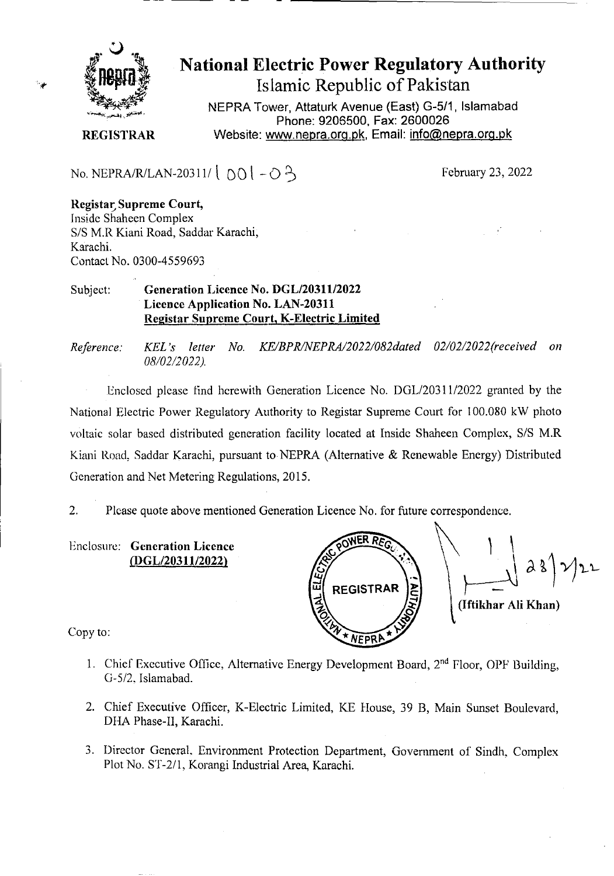

# **National Electric Power Regulatory Authority Islamic Republic of Pakistan**

**NEPRA Tower Attaturk Avenue (East) G-511 Islamabad Phone: 9206500, Fax: 2600026 REGISTRAR** Website: www.nepra.org.pk, Email: info@nepra.org.pk

No. NEPRA/R/LAN-20311/  $[0] - 3$  February 23, 2022

### **Registar Supreme Court,**

Inside Shaheen Complex S/S M.R Kiani Road, Saddar Karachi, Karachi. Contact No. 0300-4559693

### Subject: **Generation Licence No. DGL/20311/2022 Licence Application No. LAN-20311 Registar Supreme Court, K-Electric Limited**

*Reference: KEL 's letter No. KE/BPR/NEPRA/2022/082dated 02/02/2022(received on 08/02/2 022).* 

Enclosed please find herewith Generation Licence No. DGL/203 11/2022 granted by the National Electric Power Regulatory Authority to Registar Supreme Court for 100.080 kW photo voltaic solar based distributed generation facility located at Inside Shaheen Complex, S/S M.R Kiani Road. Saddar Karachi, pursuant to NEPRA (Alternative & Renewable Energy) Distributed Generation and Net Metering Regulations, 2015.

2. Please quote above mentioned Generation Licence No. for future correspondence.

Enclosure: **Generation Licence LDGL/20311/2022)** 

**W REGISTRAR (Iftikhar Ali Khan) NEPRP** 

Copy to:

- 1. Chief Executive Office, Alternative Energy Development Board, 2<sup>nd</sup> Floor, OPF Building, G-5/2. Islamabad.
- 2. Chief Executive Officer, K-Electric Limited, KE House, 39 B, Main Sunset Boulevard, DHA Phase-II, Karachi.
- 3. Director General, Environment Protection Department, Government of Sindh, Complex Plot No. ST-2/1, Korangi Industrial Area, Karachi.